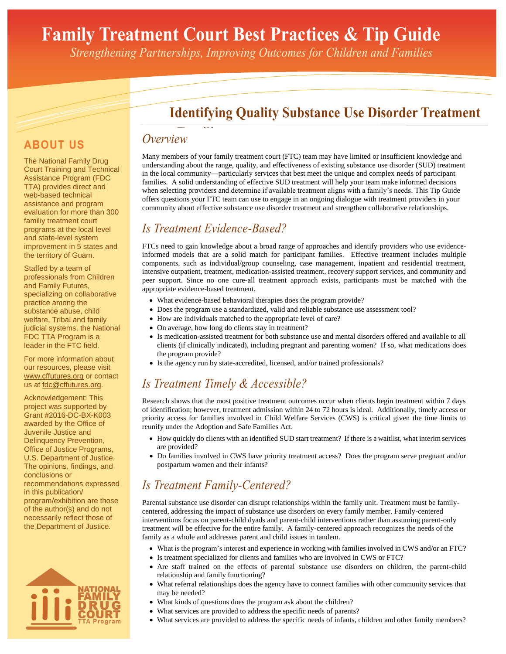# **Family Treatment Court Best Practices & Tip Guide**

*Strengthening Partnerships, Improving Outcomes for Children and Families*

### **Identifying Quality Substance Use Disorder Treatment**

#### **ABOUT US**

The National Family Drug Court Training and Technical Assistance Program (FDC TTA) provides direct and web-based technical assistance and program evaluation for more than 300 familiy treatment court programs at the local level and state-level system improvement in 5 states and the territory of Guam.

Staffed by a team of professionals from Children and Family Futures, specializing on collaborative practice among the substance abuse, child welfare, Tribal and family judicial systems, the National FDC TTA Program is a leader in the FTC field.

For more information about our resources, please visit www.cffutures.org or contact us at fdc@cffutures.org.

Acknowledgement: This project was supported by Grant #2016-DC-BX-K003 awarded by the Office of Juvenile Justice and Delinquency Prevention, Office of Justice Programs, U.S. Department of Justice. The opinions, findings, and conclusions or recommendations expressed in this publication/ program/exhibition are those of the author(s) and do not necessarily reflect those of the Department of Justice*.*



## **Overview**

Many members of your family treatment court (FTC) team may have limited or insufficient knowledge and understanding about the range, quality, and effectiveness of existing substance use disorder (SUD) treatment in the local community—particularly services that best meet the unique and complex needs of participant families. A solid understanding of effective SUD treatment will help your team make informed decisions when selecting providers and determine if available treatment aligns with a family's needs. This Tip Guide offers questions your FTC team can use to engage in an ongoing dialogue with treatment providers in your community about effective substance use disorder treatment and strengthen collaborative relationships.

#### *Is Treatment Evidence-Based?*

FTCs need to gain knowledge about a broad range of approaches and identify providers who use evidenceinformed models that are a solid match for participant families. Effective treatment includes multiple components, such as individual/group counseling, case management, inpatient and residential treatment, intensive outpatient, treatment, medication-assisted treatment, recovery support services, and community and peer support. Since no one cure-all treatment approach exists, participants must be matched with the appropriate evidence-based treatment.

- What evidence-based behavioral therapies does the program provide?
- Does the program use a standardized, valid and reliable substance use assessment tool?
- How are individuals matched to the appropriate level of care?
- On average, how long do clients stay in treatment?
- Is medication-assisted treatment for both substance use and mental disorders offered and available to all clients (if clinically indicated), including pregnant and parenting women? If so, what medications does the program provide?
- Is the agency run by state-accredited, licensed, and/or trained professionals?

### *Is Treatment Timely & Accessible?*

Research shows that the most positive treatment outcomes occur when clients begin treatment within 7 days of identification; however, treatment admission within 24 to 72 hours is ideal. Additionally, timely access or priority access for families involved in Child Welfare Services (CWS) is critical given the time limits to reunify under the Adoption and Safe Families Act.

- How quickly do clients with an identified SUD start treatment? If there is a waitlist, what interim services are provided?
- Do families involved in CWS have priority treatment access? Does the program serve pregnant and/or postpartum women and their infants?

#### *Is Treatment Family-Centered?*

Parental substance use disorder can disrupt relationships within the family unit. Treatment must be familycentered, addressing the impact of substance use disorders on every family member. Family-centered interventions focus on parent-child dyads and parent-child interventions rather than assuming parent-only treatment will be effective for the entire family. A family-centered approach recognizes the needs of the family as a whole and addresses parent and child issues in tandem.

- What is the program's interest and experience in working with families involved in CWS and/or an FTC?
- Is treatment specialized for clients and families who are involved in CWS or FTC?
- Are staff trained on the effects of parental substance use disorders on children, the parent-child relationship and family functioning?
- What referral relationships does the agency have to connect families with other community services that may be needed?
- What kinds of questions does the program ask about the children?
- What services are provided to address the specific needs of parents?
- What services are provided to address the specific needs of infants, children and other family members?